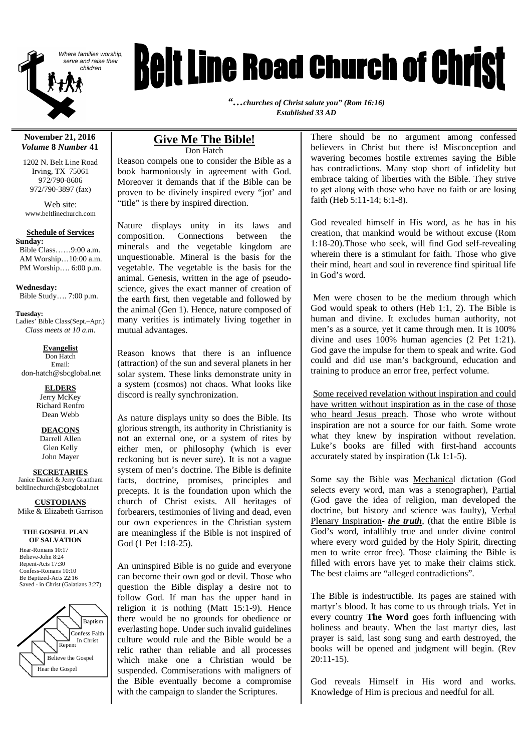

# *Belt Line Road Church of Christ*

*"…churches of Christ salute you" (Rom 16:16) Established 33 AD*

#### **November 21, 2016** *Volume* **8** *Number* **41**

1202 N. Belt Line Road Irving, TX 75061 972/790-8606 972/790-3897 (fax)

Web site: www.beltlinechurch.com

#### **Schedule of Services Sunday:**

Bible Class……9:00 a.m. AM Worship…10:00 a.m. PM Worship…. 6:00 p.m.

**Wednesday:** Bible Study…. 7:00 p.m.

**Tuesday:** Ladies' Bible Class(Sept.–Apr.) *Class meets at 10 a.m.*

**Evangelist** Don Hatch Email: don-hatch@sbcglobal.net

> **ELDERS** Jerry McKey Richard Renfro Dean Webb

> > **DEACONS**

Darrell Allen Glen Kelly John Mayer

**SECRETARIES**

Janice Daniel & Jerry Grantham beltlinechurch@sbcglobal.net

**CUSTODIANS** Mike & Elizabeth Garrison

#### **THE GOSPEL PLAN OF SALVATION**

Hear-Romans 10:17 Believe-John 8:24 Repent-Acts 17:30 Confess-Romans 10:10 Be Baptized-Acts 22:16 Saved - in Christ (Galatians 3:27)



#### **Give Me The Bible!** Don Hatch

Reason compels one to consider the Bible as a book harmoniously in agreement with God. Moreover it demands that if the Bible can be proven to be divinely inspired every "jot' and "title" is there by inspired direction.

Nature displays unity in its laws and composition. Connections between the minerals and the vegetable kingdom are unquestionable. Mineral is the basis for the vegetable. The vegetable is the basis for the animal. Genesis, written in the age of pseudoscience, gives the exact manner of creation of the earth first, then vegetable and followed by the animal (Gen 1). Hence, nature composed of many verities is intimately living together in mutual advantages.

Reason knows that there is an influence (attraction) of the sun and several planets in her solar system. These links demonstrate unity in a system (cosmos) not chaos. What looks like discord is really synchronization.

As nature displays unity so does the Bible. Its glorious strength, its authority in Christianity is not an external one, or a system of rites by either men, or philosophy (which is ever reckoning but is never sure). It is not a vague system of men's doctrine. The Bible is definite facts, doctrine, promises, principles and precepts. It is the foundation upon which the church of Christ exists. All heritages of forbearers, testimonies of living and dead, even our own experiences in the Christian system are meaningless if the Bible is not inspired of God (1 Pet 1:18-25).

An uninspired Bible is no guide and everyone can become their own god or devil. Those who question the Bible display a desire not to follow God. If man has the upper hand in religion it is nothing (Matt 15:1-9). Hence there would be no grounds for obedience or everlasting hope. Under such invalid guidelines culture would rule and the Bible would be a relic rather than reliable and all processes which make one a Christian would be suspended. Commiserations with maligners of the Bible eventually become a compromise with the campaign to slander the Scriptures.

There should be no argument among confessed believers in Christ but there is! Misconception and wavering becomes hostile extremes saying the Bible has contradictions. Many stop short of infidelity but embrace taking of liberties with the Bible. They strive to get along with those who have no faith or are losing faith (Heb 5:11-14; 6:1-8).

God revealed himself in His word, as he has in his creation, that mankind would be without excuse (Rom 1:18-20).Those who seek, will find God self-revealing wherein there is a stimulant for faith. Those who give their mind, heart and soul in reverence find spiritual life in God's word.

Men were chosen to be the medium through which God would speak to others (Heb 1:1, 2). The Bible is human and divine. It excludes human authority, not men's as a source, yet it came through men. It is 100% divine and uses 100% human agencies (2 Pet 1:21). God gave the impulse for them to speak and write. God could and did use man's background, education and training to produce an error free, perfect volume.

Some received revelation without inspiration and could have written without inspiration as in the case of those who heard Jesus preach. Those who wrote without inspiration are not a source for our faith. Some wrote what they knew by inspiration without revelation. Luke's books are filled with first-hand accounts accurately stated by inspiration (Lk 1:1-5).

Some say the Bible was Mechanical dictation (God selects every word, man was a stenographer), Partial (God gave the idea of religion, man developed the doctrine, but history and science was faulty), Verbal Plenary Inspiration- *the truth*, (that the entire Bible is God's word, infallibly true and under divine control where every word guided by the Holy Spirit, directing men to write error free). Those claiming the Bible is filled with errors have yet to make their claims stick. The best claims are "alleged contradictions".

The Bible is indestructible. Its pages are stained with martyr's blood. It has come to us through trials. Yet in every country **The Word** goes forth influencing with holiness and beauty. When the last martyr dies, last prayer is said, last song sung and earth destroyed, the books will be opened and judgment will begin. (Rev 20:11-15).

God reveals Himself in His word and works. Knowledge of Him is precious and needful for all.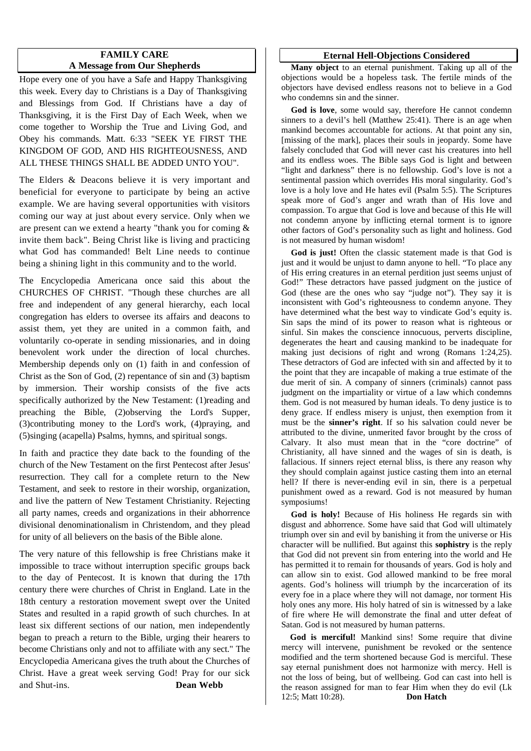## **FAMILY CARE A Message from Our Shepherds**

Hope every one of you have a Safe and Happy Thanksgiving this week. Every day to Christians is a Day of Thanksgiving and Blessings from God. If Christians have a day of Thanksgiving, it is the First Day of Each Week, when we come together to Worship the True and Living God, and Obey his commands. Matt. 6:33 "SEEK YE FIRST THE KINGDOM OF GOD, AND HIS RIGHTEOUSNESS, AND ALL THESE THINGS SHALL BE ADDED UNTO YOU".

The Elders & Deacons believe it is very important and beneficial for everyone to participate by being an active example. We are having several opportunities with visitors coming our way at just about every service. Only when we are present can we extend a hearty "thank you for coming & invite them back". Being Christ like is living and practicing what God has commanded! Belt Line needs to continue being a shining light in this community and to the world.

The Encyclopedia Americana once said this about the CHURCHES OF CHRIST. "Though these churches are all free and independent of any general hierarchy, each local congregation has elders to oversee its affairs and deacons to assist them, yet they are united in a common faith, and voluntarily co-operate in sending missionaries, and in doing benevolent work under the direction of local churches. Membership depends only on (1) faith in and confession of Christ as the Son of God, (2) repentance of sin and (3) baptism by immersion. Their worship consists of the five acts specifically authorized by the New Testament: (1)reading and preaching the Bible, (2)observing the Lord's Supper, (3)contributing money to the Lord's work, (4)praying, and (5)singing (acapella) Psalms, hymns, and spiritual songs.

In faith and practice they date back to the founding of the church of the New Testament on the first Pentecost after Jesus' resurrection. They call for a complete return to the New Testament, and seek to restore in their worship, organization, and live the pattern of New Testament Christianity. Rejecting all party names, creeds and organizations in their abhorrence divisional denominationalism in Christendom, and they plead for unity of all believers on the basis of the Bible alone.

The very nature of this fellowship is free Christians make it impossible to trace without interruption specific groups back to the day of Pentecost. It is known that during the 17th century there were churches of Christ in England. Late in the 18th century a restoration movement swept over the United States and resulted in a rapid growth of such churches. In at least six different sections of our nation, men independently began to preach a return to the Bible, urging their hearers to become Christians only and not to affiliate with any sect." The Encyclopedia Americana gives the truth about the Churches of Christ. Have a great week serving God! Pray for our sick and Shut-ins. **Dean Webb**

#### **Eternal Hell-Objections Considered**

**Many object** to an eternal punishment. Taking up all of the objections would be a hopeless task. The fertile minds of the objectors have devised endless reasons not to believe in a God who condemns sin and the sinner.

**God is love**, some would say, therefore He cannot condemn sinners to a devil's hell (Matthew 25:41). There is an age when mankind becomes accountable for actions. At that point any sin, [missing of the mark], places their souls in jeopardy. Some have falsely concluded that God will never cast his creatures into hell and its endless woes. The Bible says God is light and between "light and darkness" there is no fellowship. God's love is not a sentimental passion which overrides His moral singularity. God's love is a holy love and He hates evil (Psalm 5:5). The Scriptures speak more of God's anger and wrath than of His love and compassion. To argue that God is love and because of this He will not condemn anyone by inflicting eternal torment is to ignore other factors of God's personality such as light and holiness. God is not measured by human wisdom!

**God is just!** Often the classic statement made is that God is just and it would be unjust to damn anyone to hell. "To place any of His erring creatures in an eternal perdition just seems unjust of God!" These detractors have passed judgment on the justice of God (these are the ones who say "judge not"). They say it is inconsistent with God's righteousness to condemn anyone. They have determined what the best way to vindicate God's equity is. Sin saps the mind of its power to reason what is righteous or sinful. Sin makes the conscience innocuous, perverts discipline, degenerates the heart and causing mankind to be inadequate for making just decisions of right and wrong (Romans 1:24,25). These detractors of God are infected with sin and affected by it to the point that they are incapable of making a true estimate of the due merit of sin. A company of sinners (criminals) cannot pass judgment on the impartiality or virtue of a law which condemns them. God is not measured by human ideals. To deny justice is to deny grace. If endless misery is unjust, then exemption from it must be the **sinner's right**. If so his salvation could never be attributed to the divine, unmerited favor brought by the cross of Calvary. It also must mean that in the "core doctrine" of Christianity, all have sinned and the wages of sin is death, is fallacious. If sinners reject eternal bliss, is there any reason why they should complain against justice casting them into an eternal hell? If there is never-ending evil in sin, there is a perpetual punishment owed as a reward. God is not measured by human symposiums!

**God is holy!** Because of His holiness He regards sin with disgust and abhorrence. Some have said that God will ultimately triumph over sin and evil by banishing it from the universe or His character will be nullified. But against this **sophistry** is the reply that God did not prevent sin from entering into the world and He has permitted it to remain for thousands of years. God is holy and can allow sin to exist. God allowed mankind to be free moral agents. God's holiness will triumph by the incarceration of its every foe in a place where they will not damage, nor torment His holy ones any more. His holy hatred of sin is witnessed by a lake of fire where He will demonstrate the final and utter defeat of Satan. God is not measured by human patterns.

**God is merciful!** Mankind sins! Some require that divine mercy will intervene, punishment be revoked or the sentence modified and the term shortened because God is merciful. These say eternal punishment does not harmonize with mercy. Hell is not the loss of being, but of wellbeing. God can cast into hell is the reason assigned for man to fear Him when they do evil (Lk 12:5; Matt 10:28). **Don Hatch**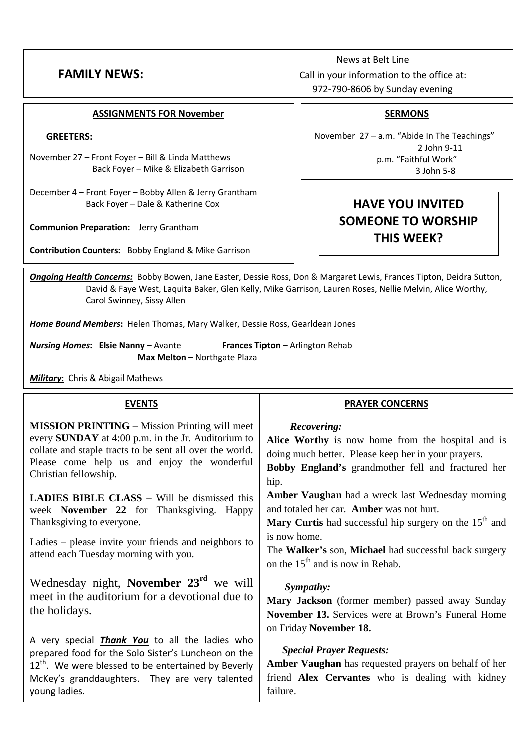News at Belt Line **FAMILY NEWS:** Call in your information to the office at: 972-790-8606 by Sunday evening

#### **ASSIGNMENTS FOR November**

#### **GREETERS:**

- November 27 Front Foyer Bill & Linda Matthews Back Foyer – Mike & Elizabeth Garrison
- December 4 Front Foyer Bobby Allen & Jerry Grantham Back Foyer – Dale & Katherine Cox

**Communion Preparation:** Jerry Grantham

**Contribution Counters:** Bobby England & Mike Garrison

## **SERMONS**

November 27 – a.m. "Abide In The Teachings" 2 John 9-11 p.m. "Faithful Work" 3 John 5-8

## **HAVE YOU INVITED SOMEONE TO WORSHIP THIS WEEK?**

*Ongoing Health Concerns:* Bobby Bowen, Jane Easter, Dessie Ross, Don & Margaret Lewis, Frances Tipton, Deidra Sutton, David & Faye West, Laquita Baker, Glen Kelly, Mike Garrison, Lauren Roses, Nellie Melvin, Alice Worthy, Carol Swinney, Sissy Allen

*Home Bound Members***:** Helen Thomas, Mary Walker, Dessie Ross, Gearldean Jones

*Nursing Homes***: Elsie Nanny** – Avante **Frances Tipton** – Arlington Rehab **Max Melton** – Northgate Plaza

*Military***:** Chris & Abigail Mathews

| <b>EVENTS</b>                                                                                                                                                                                                                                         | <b>PRAYER CONCERNS</b>                                                                                                                                                                |  |
|-------------------------------------------------------------------------------------------------------------------------------------------------------------------------------------------------------------------------------------------------------|---------------------------------------------------------------------------------------------------------------------------------------------------------------------------------------|--|
| <b>MISSION PRINTING – Mission Printing will meet</b><br>every <b>SUNDAY</b> at 4:00 p.m. in the Jr. Auditorium to<br>collate and staple tracts to be sent all over the world.<br>Please come help us and enjoy the wonderful<br>Christian fellowship. | Recovering:<br>Alice Worthy is now home from the hospital and is<br>doing much better. Please keep her in your prayers.<br>Bobby England's grandmother fell and fractured her<br>hip. |  |
| <b>LADIES BIBLE CLASS - Will be dismissed this</b><br>week November 22 for Thanksgiving. Happy<br>Thanksgiving to everyone.                                                                                                                           | Amber Vaughan had a wreck last Wednesday morning<br>and totaled her car. Amber was not hurt.<br><b>Mary Curtis</b> had successful hip surgery on the $15th$ and                       |  |
| Ladies – please invite your friends and neighbors to<br>attend each Tuesday morning with you.                                                                                                                                                         | is now home.<br>The Walker's son, Michael had successful back surgery<br>on the 15 <sup>th</sup> and is now in Rehab.                                                                 |  |
| Wednesday night, November 23 <sup>rd</sup> we will<br>meet in the auditorium for a devotional due to<br>the holidays.                                                                                                                                 | Sympathy:<br>Mary Jackson (former member) passed away Sunday<br><b>November 13.</b> Services were at Brown's Funeral Home<br>on Friday November 18.                                   |  |
| A very special <i>Thank You</i> to all the ladies who<br>prepared food for the Solo Sister's Luncheon on the<br>12 <sup>th</sup> . We were blessed to be entertained by Beverly<br>McKey's granddaughters. They are very talented<br>young ladies.    | <b>Special Prayer Requests:</b><br>Amber Vaughan has requested prayers on behalf of her<br>friend Alex Cervantes who is dealing with kidney<br>failure.                               |  |